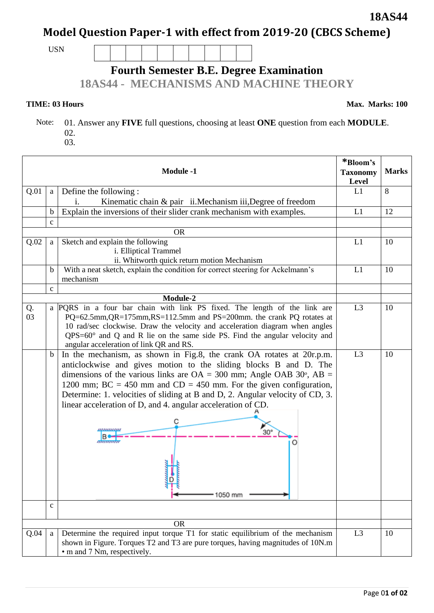# **Model Question Paper-1 with effect from 2019-20 (CBCS Scheme)**

USN

## **Fourth Semester B.E. Degree Examination**

**18AS44 - MECHANISMS AND MACHINE THEORY**

**TIME: 03 Hours** Max. Marks: 100

**\*Bloom's** 

 Note: 01. Answer any **FIVE** full questions, choosing at least **ONE** question from each **MODULE**. 02.

| v∠.<br>03. |  |
|------------|--|
|            |  |

|          | <b>Taxonomy</b><br>Level | <b>Marks</b>                                                                                                                                                                                                                                                                                                                                                                                                                                                                                            |                |    |
|----------|--------------------------|---------------------------------------------------------------------------------------------------------------------------------------------------------------------------------------------------------------------------------------------------------------------------------------------------------------------------------------------------------------------------------------------------------------------------------------------------------------------------------------------------------|----------------|----|
| Q.01     | a                        | Define the following:<br>Kinematic chain & pair ii. Mechanism iii, Degree of freedom<br>1.                                                                                                                                                                                                                                                                                                                                                                                                              | L1             | 8  |
|          | $\mathbf b$              | Explain the inversions of their slider crank mechanism with examples.                                                                                                                                                                                                                                                                                                                                                                                                                                   | L1             | 12 |
|          | $\mathbf c$              |                                                                                                                                                                                                                                                                                                                                                                                                                                                                                                         |                |    |
|          |                          | <b>OR</b>                                                                                                                                                                                                                                                                                                                                                                                                                                                                                               |                |    |
| Q.02     | a                        | Sketch and explain the following<br>i. Elliptical Trammel<br>ii. Whitworth quick return motion Mechanism                                                                                                                                                                                                                                                                                                                                                                                                | L1             | 10 |
|          | $\mathbf b$              | With a neat sketch, explain the condition for correct steering for Ackelmann's<br>mechanism                                                                                                                                                                                                                                                                                                                                                                                                             | L1             | 10 |
|          | $\mathbf{C}$             |                                                                                                                                                                                                                                                                                                                                                                                                                                                                                                         |                |    |
|          |                          | Module-2                                                                                                                                                                                                                                                                                                                                                                                                                                                                                                |                |    |
| Q.<br>03 |                          | a PQRS in a four bar chain with link PS fixed. The length of the link are<br>PQ=62.5mm, QR=175mm, RS=112.5mm and PS=200mm. the crank PQ rotates at<br>10 rad/sec clockwise. Draw the velocity and acceleration diagram when angles<br>$QPS=60^\circ$ and Q and R lie on the same side PS. Find the angular velocity and<br>angular acceleration of link QR and RS.                                                                                                                                      | L <sub>3</sub> | 10 |
|          | $\mathbf b$              | In the mechanism, as shown in Fig.8, the crank OA rotates at 20r.p.m.<br>anticlockwise and gives motion to the sliding blocks B and D. The<br>dimensions of the various links are $OA = 300$ mm; Angle OAB 30°, $AB =$<br>1200 mm; BC = 450 mm and CD = 450 mm. For the given configuration,<br>Determine: 1. velocities of sliding at B and D, 2. Angular velocity of CD, 3.<br>linear acceleration of D, and 4. angular acceleration of CD.<br>$30^\circ$<br>,,,,,,,,,,,,,<br>ammun<br>O<br>' 1050 mm | L3             | 10 |
|          | $\mathbf{C}$             |                                                                                                                                                                                                                                                                                                                                                                                                                                                                                                         |                |    |
|          |                          | <b>OR</b>                                                                                                                                                                                                                                                                                                                                                                                                                                                                                               |                |    |
| Q.04     | a                        | L <sub>3</sub>                                                                                                                                                                                                                                                                                                                                                                                                                                                                                          | 10             |    |

**18AS44**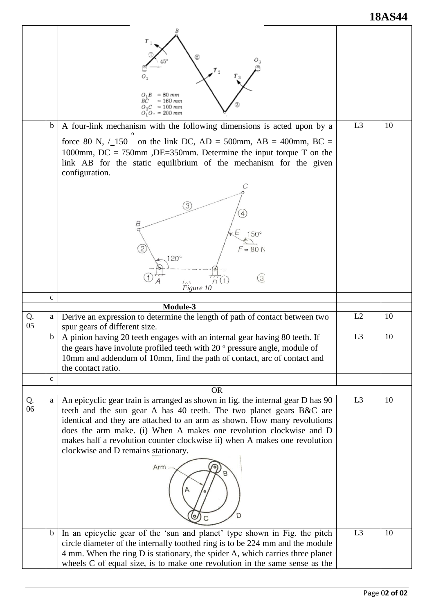### **18AS44**

|          |              | = 80 mm<br>$=160$ mm<br>$O_3C = 100$ mm<br>$O_1 O_2 = 200$ mm                                                                                                                                                                                                                                                                                                                                                                        |                |    |
|----------|--------------|--------------------------------------------------------------------------------------------------------------------------------------------------------------------------------------------------------------------------------------------------------------------------------------------------------------------------------------------------------------------------------------------------------------------------------------|----------------|----|
|          | $\mathbf b$  | A four-link mechanism with the following dimensions is acted upon by a<br>force 80 N, $/_{150}$ on the link DC, AD = 500mm, AB = 400mm, BC =<br>1000mm, DC = 750mm ,DE=350mm. Determine the input torque T on the<br>link AB for the static equilibrium of the mechanism for the given<br>configuration.<br>$\left(3\right)$<br>В<br>$150^\circ$<br>$F = 80 N$<br>20 <sup>o</sup>                                                    | L <sub>3</sub> | 10 |
|          |              | $\left(3\right)$<br>D(1)<br>(2)<br>Figure 10                                                                                                                                                                                                                                                                                                                                                                                         |                |    |
|          | $\mathbf{C}$ |                                                                                                                                                                                                                                                                                                                                                                                                                                      |                |    |
|          |              | Module-3                                                                                                                                                                                                                                                                                                                                                                                                                             |                |    |
| Q.<br>05 | a            | Derive an expression to determine the length of path of contact between two<br>spur gears of different size.                                                                                                                                                                                                                                                                                                                         | L2             | 10 |
|          | b.           | A pinion having 20 teeth engages with an internal gear having 80 teeth. If<br>the gears have involute profiled teeth with 20 ° pressure angle, module of<br>10mm and addendum of 10mm, find the path of contact, arc of contact and<br>the contact ratio.                                                                                                                                                                            | L <sub>3</sub> | 10 |
|          | $\mathbf c$  |                                                                                                                                                                                                                                                                                                                                                                                                                                      |                |    |
|          |              | <b>OR</b>                                                                                                                                                                                                                                                                                                                                                                                                                            |                |    |
| Q.<br>06 | a            | An epicyclic gear train is arranged as shown in fig. the internal gear D has 90<br>teeth and the sun gear A has 40 teeth. The two planet gears B&C are<br>identical and they are attached to an arm as shown. How many revolutions<br>does the arm make. (i) When A makes one revolution clockwise and D<br>makes half a revolution counter clockwise ii) when A makes one revolution<br>clockwise and D remains stationary.<br>Arm- | L <sub>3</sub> | 10 |
|          | $\mathbf b$  | In an epicyclic gear of the 'sun and planet' type shown in Fig. the pitch<br>circle diameter of the internally toothed ring is to be 224 mm and the module<br>4 mm. When the ring D is stationary, the spider A, which carries three planet<br>wheels C of equal size, is to make one revolution in the same sense as the                                                                                                            | L <sub>3</sub> | 10 |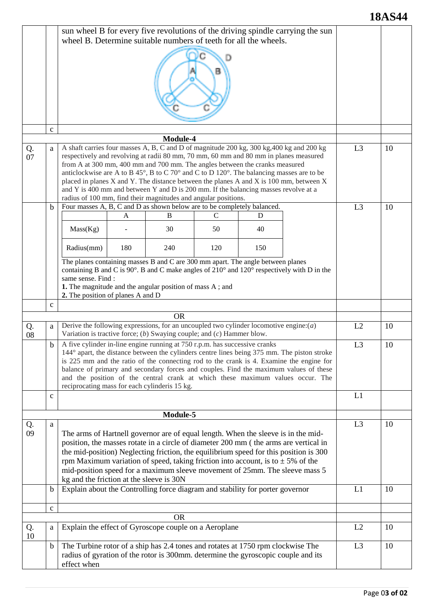#### **18AS44**

|          |                                                            | sun wheel B for every five revolutions of the driving spindle carrying the sun<br>wheel B. Determine suitable numbers of teeth for all the wheels.                        |     |                                                                                                                                                         |     |     |                                                                                                                        |                |    |
|----------|------------------------------------------------------------|---------------------------------------------------------------------------------------------------------------------------------------------------------------------------|-----|---------------------------------------------------------------------------------------------------------------------------------------------------------|-----|-----|------------------------------------------------------------------------------------------------------------------------|----------------|----|
|          |                                                            |                                                                                                                                                                           |     |                                                                                                                                                         |     |     |                                                                                                                        |                |    |
|          |                                                            |                                                                                                                                                                           |     |                                                                                                                                                         |     |     |                                                                                                                        |                |    |
|          |                                                            |                                                                                                                                                                           |     |                                                                                                                                                         |     |     |                                                                                                                        |                |    |
|          | $\mathbf{C}$                                               |                                                                                                                                                                           |     |                                                                                                                                                         |     |     |                                                                                                                        |                |    |
| Q.       | a                                                          | Module-4<br>A shaft carries four masses A, B, C and D of magnitude 200 kg, 300 kg, 400 kg and 200 kg                                                                      |     |                                                                                                                                                         |     |     |                                                                                                                        | L <sub>3</sub> | 10 |
| 07       |                                                            | respectively and revolving at radii 80 mm, 70 mm, 60 mm and 80 mm in planes measured<br>from A at 300 mm, 400 mm and 700 mm. The angles between the cranks measured       |     |                                                                                                                                                         |     |     |                                                                                                                        |                |    |
|          |                                                            |                                                                                                                                                                           |     | anticlockwise are A to B 45°, B to C 70° and C to D 120°. The balancing masses are to be                                                                |     |     |                                                                                                                        |                |    |
|          |                                                            |                                                                                                                                                                           |     | placed in planes X and Y. The distance between the planes A and X is 100 mm, between X                                                                  |     |     |                                                                                                                        |                |    |
|          |                                                            |                                                                                                                                                                           |     | and Y is 400 mm and between Y and D is $200$ mm. If the balancing masses revolve at a<br>radius of 100 mm, find their magnitudes and angular positions. |     |     |                                                                                                                        |                |    |
|          | $\mathbf b$                                                |                                                                                                                                                                           |     | Four masses A, B, C and D as shown below are to be completely balanced.                                                                                 |     |     |                                                                                                                        | L <sub>3</sub> | 10 |
|          |                                                            |                                                                                                                                                                           | A   | B                                                                                                                                                       | C   | D   |                                                                                                                        |                |    |
|          |                                                            | Mass(Kg)                                                                                                                                                                  |     | 30                                                                                                                                                      | 50  | 40  |                                                                                                                        |                |    |
|          |                                                            | Radius(mm)                                                                                                                                                                | 180 | 240                                                                                                                                                     | 120 | 150 |                                                                                                                        |                |    |
|          |                                                            |                                                                                                                                                                           |     | The planes containing masses B and C are 300 mm apart. The angle between planes                                                                         |     |     | containing B and C is $90^{\circ}$ . B and C make angles of $210^{\circ}$ and $120^{\circ}$ respectively with D in the |                |    |
|          |                                                            | same sense. Find :<br>1. The magnitude and the angular position of mass A; and                                                                                            |     |                                                                                                                                                         |     |     |                                                                                                                        |                |    |
|          |                                                            | 2. The position of planes A and D                                                                                                                                         |     |                                                                                                                                                         |     |     |                                                                                                                        |                |    |
|          | $\mathbf{C}$                                               |                                                                                                                                                                           |     |                                                                                                                                                         |     |     |                                                                                                                        |                |    |
|          |                                                            |                                                                                                                                                                           |     | <b>OR</b>                                                                                                                                               |     |     |                                                                                                                        |                |    |
| Q.<br>08 | a                                                          | Derive the following expressions, for an uncoupled two cylinder locomotive engine: $(a)$<br>Variation is tractive force; $(b)$ Swaying couple; and $(c)$ Hammer blow.     |     |                                                                                                                                                         |     |     |                                                                                                                        | L2             | 10 |
|          | $\mathbf b$                                                | A five cylinder in-line engine running at 750 r.p.m. has successive cranks<br>144° apart, the distance between the cylinders centre lines being 375 mm. The piston stroke |     |                                                                                                                                                         |     |     |                                                                                                                        | L <sub>3</sub> | 10 |
|          |                                                            | is 225 mm and the ratio of the connecting rod to the crank is 4. Examine the engine for                                                                                   |     |                                                                                                                                                         |     |     |                                                                                                                        |                |    |
|          |                                                            | balance of primary and secondary forces and couples. Find the maximum values of these                                                                                     |     |                                                                                                                                                         |     |     |                                                                                                                        |                |    |
|          |                                                            | and the position of the central crank at which these maximum values occur. The<br>reciprocating mass for each cylinderis 15 kg.                                           |     |                                                                                                                                                         |     |     |                                                                                                                        |                |    |
|          | $\mathbf c$                                                |                                                                                                                                                                           |     |                                                                                                                                                         |     |     | L1                                                                                                                     |                |    |
|          |                                                            |                                                                                                                                                                           |     | Module-5                                                                                                                                                |     |     |                                                                                                                        |                |    |
| Q.       | a                                                          |                                                                                                                                                                           |     |                                                                                                                                                         |     |     |                                                                                                                        | L <sub>3</sub> | 10 |
| 09       |                                                            |                                                                                                                                                                           |     | The arms of Hartnell governor are of equal length. When the sleeve is in the mid-                                                                       |     |     |                                                                                                                        |                |    |
|          |                                                            |                                                                                                                                                                           |     | position, the masses rotate in a circle of diameter 200 mm (the arms are vertical in                                                                    |     |     |                                                                                                                        |                |    |
|          |                                                            | the mid-position) Neglecting friction, the equilibrium speed for this position is 300                                                                                     |     |                                                                                                                                                         |     |     |                                                                                                                        |                |    |
|          |                                                            | rpm Maximum variation of speed, taking friction into account, is to $\pm$ 5% of the<br>mid-position speed for a maximum sleeve movement of 25mm. The sleeve mass 5        |     |                                                                                                                                                         |     |     |                                                                                                                        |                |    |
|          |                                                            | kg and the friction at the sleeve is 30N                                                                                                                                  |     |                                                                                                                                                         |     |     |                                                                                                                        |                |    |
|          | $\mathbf b$                                                |                                                                                                                                                                           |     | Explain about the Controlling force diagram and stability for porter governor                                                                           |     |     |                                                                                                                        | L1             | 10 |
|          | $\mathbf c$                                                |                                                                                                                                                                           |     |                                                                                                                                                         |     |     |                                                                                                                        |                |    |
| Q.       |                                                            |                                                                                                                                                                           |     | <b>OR</b>                                                                                                                                               |     |     |                                                                                                                        | L2             | 10 |
| 10       | Explain the effect of Gyroscope couple on a Aeroplane<br>a |                                                                                                                                                                           |     |                                                                                                                                                         |     |     |                                                                                                                        |                |    |
|          | $\mathbf b$                                                |                                                                                                                                                                           |     | The Turbine rotor of a ship has 2.4 tones and rotates at 1750 rpm clockwise The                                                                         |     |     |                                                                                                                        | L <sub>3</sub> | 10 |
|          |                                                            | radius of gyration of the rotor is 300mm. determine the gyroscopic couple and its<br>effect when                                                                          |     |                                                                                                                                                         |     |     |                                                                                                                        |                |    |